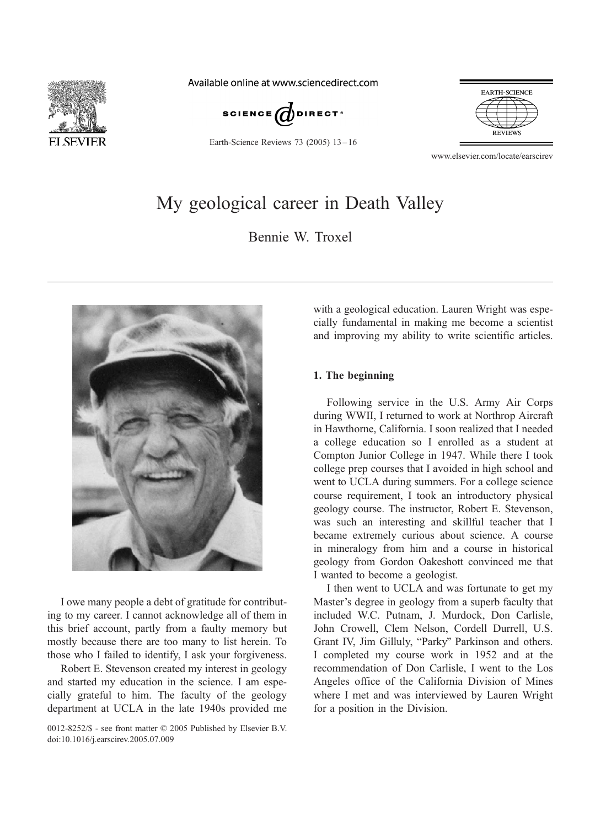

Available online at www.sciencedirect.com



Earth-Science Reviews 73 (2005) 13 – 16



www.elsevier.com/locate/earscirev

# My geological career in Death Valley

Bennie W. Troxel



I owe many people a debt of gratitude for contributing to my career. I cannot acknowledge all of them in this brief account, partly from a faulty memory but mostly because there are too many to list herein. To those who I failed to identify, I ask your forgiveness.

Robert E. Stevenson created my interest in geology and started my education in the science. I am especially grateful to him. The faculty of the geology department at UCLA in the late 1940s provided me

0012-8252/\$ - see front matter  $\odot$  2005 Published by Elsevier B.V. doi:10.1016/j.earscirev.2005.07.009

with a geological education. Lauren Wright was especially fundamental in making me become a scientist and improving my ability to write scientific articles.

## 1. The beginning

Following service in the U.S. Army Air Corps during WWII, I returned to work at Northrop Aircraft in Hawthorne, California. I soon realized that I needed a college education so I enrolled as a student at Compton Junior College in 1947. While there I took college prep courses that I avoided in high school and went to UCLA during summers. For a college science course requirement, I took an introductory physical geology course. The instructor, Robert E. Stevenson, was such an interesting and skillful teacher that I became extremely curious about science. A course in mineralogy from him and a course in historical geology from Gordon Oakeshott convinced me that I wanted to become a geologist.

I then went to UCLA and was fortunate to get my Master's degree in geology from a superb faculty that included W.C. Putnam, J. Murdock, Don Carlisle, John Crowell, Clem Nelson, Cordell Durrell, U.S. Grant IV, Jim Gilluly, "Parky" Parkinson and others. I completed my course work in 1952 and at the recommendation of Don Carlisle, I went to the Los Angeles office of the California Division of Mines where I met and was interviewed by Lauren Wright for a position in the Division.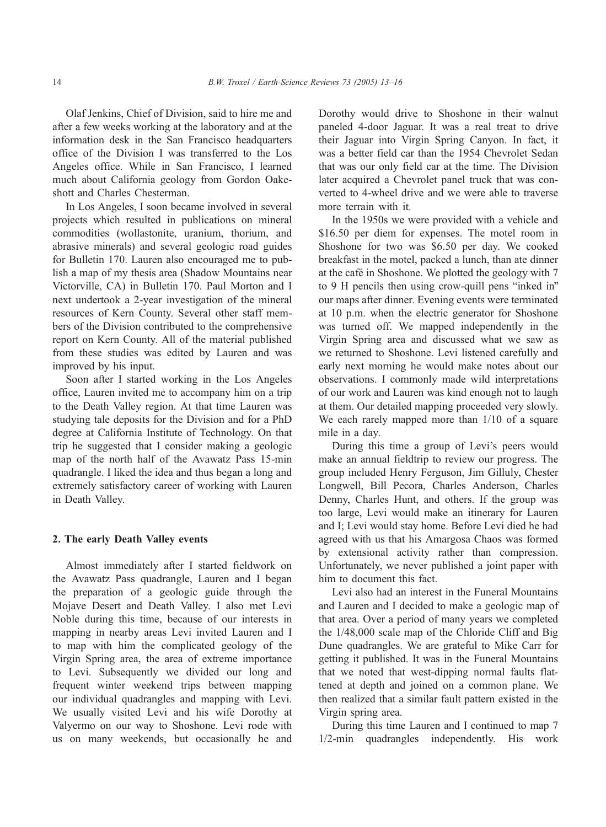Olaf Jenkins, Chief of Division, said to hire me and after a few weeks working at the laboratory and at the information desk in the San Francisco headquarters office of the Division I was transferred to the Los Angeles office. While in San Francisco, I learned much about California geology from Gordon Oakeshott and Charles Chesterman.

In Los Angeles, I soon became involved in several projects which resulted in publications on mineral commodities (wollastonite, uranium, thorium, and abrasive minerals) and several geologic road guides for Bulletin 170. Lauren also encouraged me to publish a map of my thesis area (Shadow Mountains near Victorville, CA) in Bulletin 170. Paul Morton and I next undertook a 2-year investigation of the mineral resources of Kern County. Several other staff members of the Division contributed to the comprehensive report on Kern County. All of the material published from these studies was edited by Lauren and was improved by his input.

Soon after I started working in the Los Angeles office, Lauren invited me to accompany him on a trip to the Death Valley region. At that time Lauren was studying tale deposits for the Division and for a PhD degree at California Institute of Technology. On that trip he suggested that I consider making a geologic map of the north half of the Avawatz Pass 15-min quadrangle. I liked the idea and thus began a long and extremely satisfactory career of working with Lauren in Death Valley.

#### 2. The early Death Valley events

Almost immediately after I started fieldwork on the Avawatz Pass quadrangle, Lauren and I began the preparation of a geologic guide through the Mojave Desert and Death Valley. I also met Levi Noble during this time, because of our interests in mapping in nearby areas Levi invited Lauren and I to map with him the complicated geology of the Virgin Spring area, the area of extreme importance to Levi. Subsequently we divided our long and frequent winter weekend trips between mapping our individual quadrangles and mapping with Levi. We usually visited Levi and his wife Dorothy at Valyermo on our way to Shoshone. Levi rode with us on many weekends, but occasionally he and Dorothy would drive to Shoshone in their walnut paneled 4-door Jaguar. It was a real treat to drive their Jaguar into Virgin Spring Canyon. In fact, it was a better field car than the 1954 Chevrolet Sedan that was our only field car at the time. The Division later acquired a Chevrolet panel truck that was converted to 4-wheel drive and we were able to traverse more terrain with it.

In the 1950s we were provided with a vehicle and \$16.50 per diem for expenses. The motel room in Shoshone for two was \$6.50 per day. We cooked breakfast in the motel, packed a lunch, than ate dinner at the café in Shoshone. We plotted the geology with 7 to  $9$  H pencils then using crow-quill pens "inked in" our maps after dinner. Evening events were terminated at 10 p.m. when the electric generator for Shoshone was turned off. We mapped independently in the Virgin Spring area and discussed what we saw as we returned to Shoshone. Levi listened carefully and early next morning he would make notes about our observations. I commonly made wild interpretations of our work and Lauren was kind enough not to laugh at them. Our detailed mapping proceeded very slowly. We each rarely mapped more than  $1/10$  of a square mile in a day.

During this time a group of Levi's peers would make an annual fieldtrip to review our progress. The group included Henry Ferguson, Jim Gilluly, Chester Longwell, Bill Pecora, Charles Anderson, Charles Denny, Charles Hunt, and others. If the group was too large, Levi would make an itinerary for Lauren and I; Levi would stay home. Before Levi died he had agreed with us that his Amargosa Chaos was formed by extensional activity rather than compression. Unfortunately, we never published a joint paper with him to document this fact.

Levi also had an interest in the Funeral Mountains and Lauren and I decided to make a geologic map of that area. Over a period of many years we completed the 1/48,000 scale map of the Chloride Cliff and Big Dune quadrangles. We are grateful to Mike Carr for getting it published. It was in the Funeral Mountains that we noted that west-dipping normal faults flattened at depth and joined on a common plane. We then realized that a similar fault pattern existed in the Virgin spring area.

During this time Lauren and I continued to map 7 1/2-min quadrangles independently. His work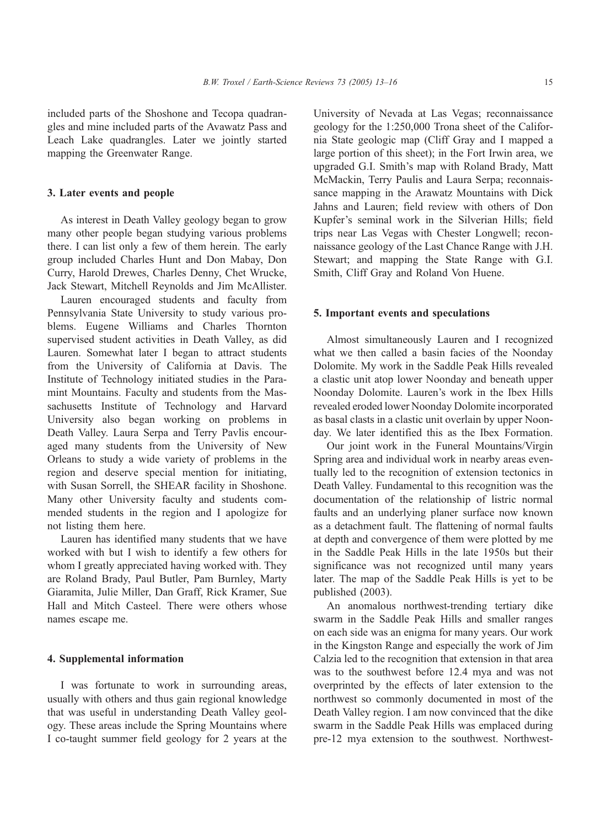included parts of the Shoshone and Tecopa quadrangles and mine included parts of the Avawatz Pass and Leach Lake quadrangles. Later we jointly started mapping the Greenwater Range.

### 3. Later events and people

As interest in Death Valley geology began to grow many other people began studying various problems there. I can list only a few of them herein. The early group included Charles Hunt and Don Mabay, Don Curry, Harold Drewes, Charles Denny, Chet Wrucke, Jack Stewart, Mitchell Reynolds and Jim McAllister.

Lauren encouraged students and faculty from Pennsylvania State University to study various problems. Eugene Williams and Charles Thornton supervised student activities in Death Valley, as did Lauren. Somewhat later I began to attract students from the University of California at Davis. The Institute of Technology initiated studies in the Paramint Mountains. Faculty and students from the Massachusetts Institute of Technology and Harvard University also began working on problems in Death Valley. Laura Serpa and Terry Pavlis encouraged many students from the University of New Orleans to study a wide variety of problems in the region and deserve special mention for initiating, with Susan Sorrell, the SHEAR facility in Shoshone. Many other University faculty and students commended students in the region and I apologize for not listing them here.

Lauren has identified many students that we have worked with but I wish to identify a few others for whom I greatly appreciated having worked with. They are Roland Brady, Paul Butler, Pam Burnley, Marty Giaramita, Julie Miller, Dan Graff, Rick Kramer, Sue Hall and Mitch Casteel. There were others whose names escape me.

### 4. Supplemental information

I was fortunate to work in surrounding areas, usually with others and thus gain regional knowledge that was useful in understanding Death Valley geology. These areas include the Spring Mountains where I co-taught summer field geology for 2 years at the University of Nevada at Las Vegas; reconnaissance geology for the 1:250,000 Trona sheet of the California State geologic map (Cliff Gray and I mapped a large portion of this sheet); in the Fort Irwin area, we upgraded G.I. Smith's map with Roland Brady, Matt McMackin, Terry Paulis and Laura Serpa; reconnaissance mapping in the Arawatz Mountains with Dick Jahns and Lauren; field review with others of Don Kupfer's seminal work in the Silverian Hills; field trips near Las Vegas with Chester Longwell; reconnaissance geology of the Last Chance Range with J.H. Stewart; and mapping the State Range with G.I. Smith, Cliff Gray and Roland Von Huene.

### 5. Important events and speculations

Almost simultaneously Lauren and I recognized what we then called a basin facies of the Noonday Dolomite. My work in the Saddle Peak Hills revealed a clastic unit atop lower Noonday and beneath upper Noonday Dolomite. Lauren's work in the Ibex Hills revealed eroded lower Noonday Dolomite incorporated as basal clasts in a clastic unit overlain by upper Noonday. We later identified this as the Ibex Formation.

Our joint work in the Funeral Mountains/Virgin Spring area and individual work in nearby areas eventually led to the recognition of extension tectonics in Death Valley. Fundamental to this recognition was the documentation of the relationship of listric normal faults and an underlying planer surface now known as a detachment fault. The flattening of normal faults at depth and convergence of them were plotted by me in the Saddle Peak Hills in the late 1950s but their significance was not recognized until many years later. The map of the Saddle Peak Hills is yet to be published (2003).

An anomalous northwest-trending tertiary dike swarm in the Saddle Peak Hills and smaller ranges on each side was an enigma for many years. Our work in the Kingston Range and especially the work of Jim Calzia led to the recognition that extension in that area was to the southwest before 12.4 mya and was not overprinted by the effects of later extension to the northwest so commonly documented in most of the Death Valley region. I am now convinced that the dike swarm in the Saddle Peak Hills was emplaced during pre-12 mya extension to the southwest. Northwest-